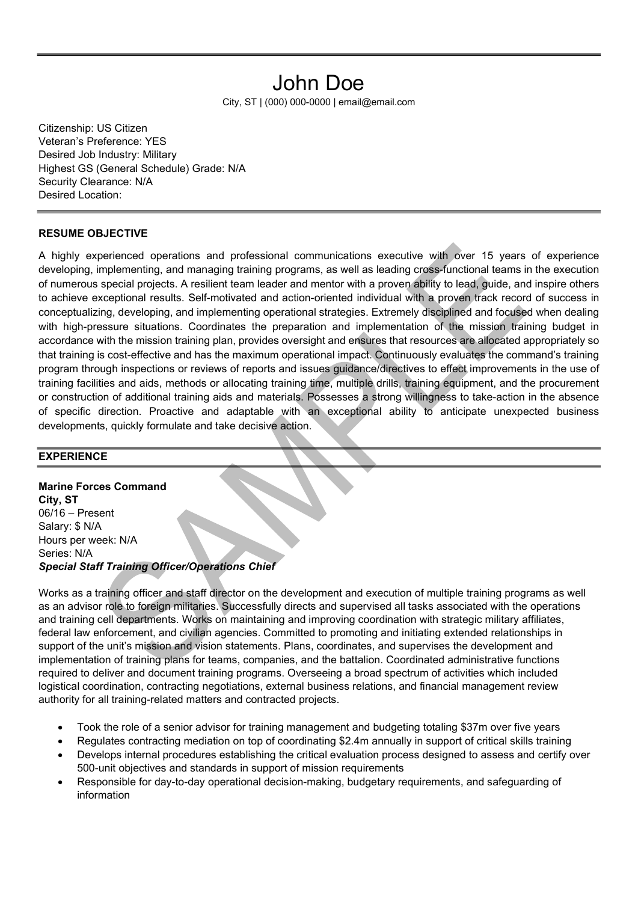# John Doe

City, ST | (000) 000-0000 | email@email.com

Citizenship: US Citizen Veteran's Preference: YES Desired Job Industry: Military Highest GS (General Schedule) Grade: N/A Security Clearance: N/A Desired Location:

#### RESUME OBJECTIVE

A highly experienced operations and professional communications executive with over 15 years of experience developing, implementing, and managing training programs, as well as leading cross-functional teams in the execution of numerous special projects. A resilient team leader and mentor with a proven ability to lead, guide, and inspire others to achieve exceptional results. Self-motivated and action-oriented individual with a proven track record of success in conceptualizing, developing, and implementing operational strategies. Extremely disciplined and focused when dealing with high-pressure situations. Coordinates the preparation and implementation of the mission training budget in accordance with the mission training plan, provides oversight and ensures that resources are allocated appropriately so that training is cost-effective and has the maximum operational impact. Continuously evaluates the command's training program through inspections or reviews of reports and issues guidance/directives to effect improvements in the use of training facilities and aids, methods or allocating training time, multiple drills, training equipment, and the procurement or construction of additional training aids and materials. Possesses a strong willingness to take-action in the absence of specific direction. Proactive and adaptable with an exceptional ability to anticipate unexpected business developments, quickly formulate and take decisive action.

#### **EXPERIENCE**

Marine Forces Command City, ST 06/16 – Present Salary: \$ N/A Hours per week: N/A Series: N/A Special Staff Training Officer/Operations Chief

Works as a training officer and staff director on the development and execution of multiple training programs as well as an advisor role to foreign militaries. Successfully directs and supervised all tasks associated with the operations and training cell departments. Works on maintaining and improving coordination with strategic military affiliates, federal law enforcement, and civilian agencies. Committed to promoting and initiating extended relationships in support of the unit's mission and vision statements. Plans, coordinates, and supervises the development and implementation of training plans for teams, companies, and the battalion. Coordinated administrative functions required to deliver and document training programs. Overseeing a broad spectrum of activities which included logistical coordination, contracting negotiations, external business relations, and financial management review authority for all training-related matters and contracted projects.

- Took the role of a senior advisor for training management and budgeting totaling \$37m over five years
- Regulates contracting mediation on top of coordinating \$2.4m annually in support of critical skills training
- Develops internal procedures establishing the critical evaluation process designed to assess and certify over 500-unit objectives and standards in support of mission requirements
- Responsible for day-to-day operational decision-making, budgetary requirements, and safeguarding of information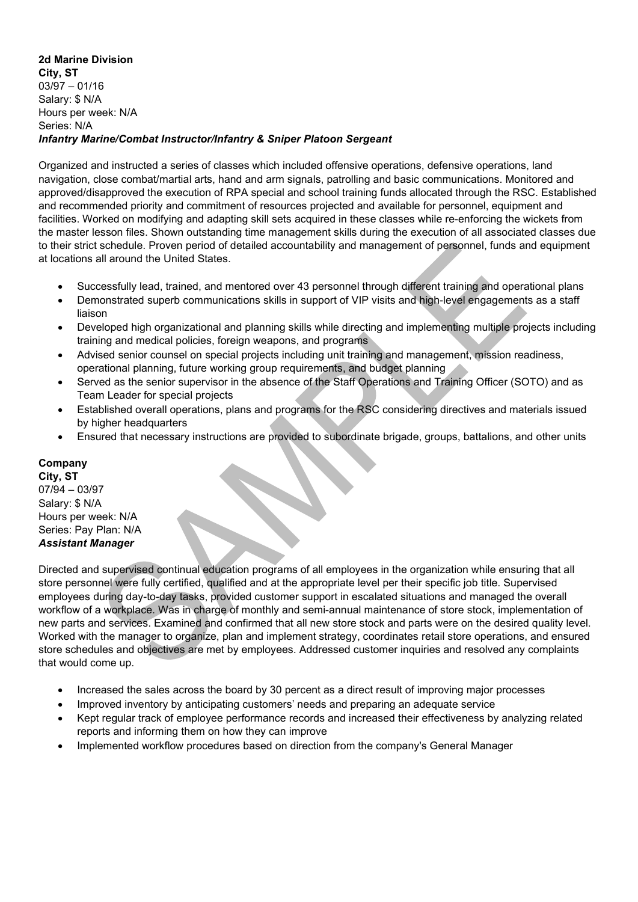#### 2d Marine Division City, ST 03/97 – 01/16 Salary: \$ N/A Hours per week: N/A Series: N/A Infantry Marine/Combat Instructor/Infantry & Sniper Platoon Sergeant

Organized and instructed a series of classes which included offensive operations, defensive operations, land navigation, close combat/martial arts, hand and arm signals, patrolling and basic communications. Monitored and approved/disapproved the execution of RPA special and school training funds allocated through the RSC. Established and recommended priority and commitment of resources projected and available for personnel, equipment and facilities. Worked on modifying and adapting skill sets acquired in these classes while re-enforcing the wickets from the master lesson files. Shown outstanding time management skills during the execution of all associated classes due to their strict schedule. Proven period of detailed accountability and management of personnel, funds and equipment at locations all around the United States.

- Successfully lead, trained, and mentored over 43 personnel through different training and operational plans
- Demonstrated superb communications skills in support of VIP visits and high-level engagements as a staff liaison
- Developed high organizational and planning skills while directing and implementing multiple projects including training and medical policies, foreign weapons, and programs
- Advised senior counsel on special projects including unit training and management, mission readiness, operational planning, future working group requirements, and budget planning
- Served as the senior supervisor in the absence of the Staff Operations and Training Officer (SOTO) and as Team Leader for special projects
- Established overall operations, plans and programs for the RSC considering directives and materials issued by higher headquarters
- Ensured that necessary instructions are provided to subordinate brigade, groups, battalions, and other units

### Company

City, ST 07/94 – 03/97 Salary: \$ N/A Hours per week: N/A Series: Pay Plan: N/A Assistant Manager

Directed and supervised continual education programs of all employees in the organization while ensuring that all store personnel were fully certified, qualified and at the appropriate level per their specific job title. Supervised employees during day-to-day tasks, provided customer support in escalated situations and managed the overall workflow of a workplace. Was in charge of monthly and semi-annual maintenance of store stock, implementation of new parts and services. Examined and confirmed that all new store stock and parts were on the desired quality level. Worked with the manager to organize, plan and implement strategy, coordinates retail store operations, and ensured store schedules and objectives are met by employees. Addressed customer inquiries and resolved any complaints that would come up.

- Increased the sales across the board by 30 percent as a direct result of improving major processes
- Improved inventory by anticipating customers' needs and preparing an adequate service
- Kept regular track of employee performance records and increased their effectiveness by analyzing related reports and informing them on how they can improve
- Implemented workflow procedures based on direction from the company's General Manager